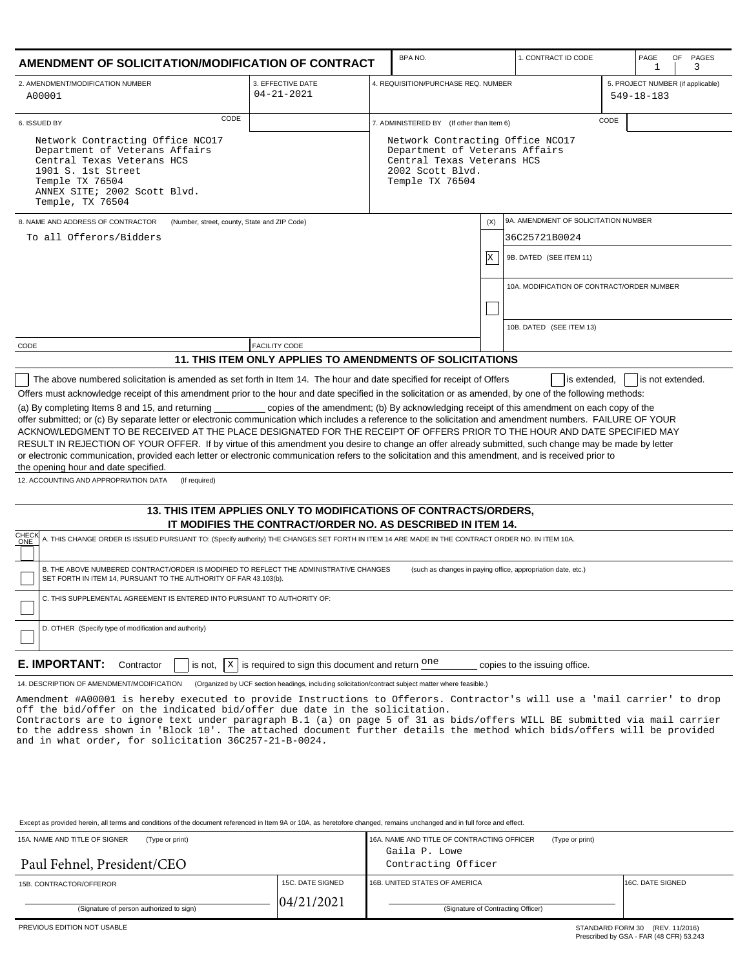| AMENDMENT OF SOLICITATION/MODIFICATION OF CONTRACT                                                                                                                                                                                                                                                                                                                                                                                                                                                                                                                                                                                                                                                          |                                                                                                     |  | BPA NO.                                                                                                                                 |     | 1. CONTRACT ID CODE                                          |                                   | PAGE<br>OF<br>PAGES<br>1<br>3 |  |
|-------------------------------------------------------------------------------------------------------------------------------------------------------------------------------------------------------------------------------------------------------------------------------------------------------------------------------------------------------------------------------------------------------------------------------------------------------------------------------------------------------------------------------------------------------------------------------------------------------------------------------------------------------------------------------------------------------------|-----------------------------------------------------------------------------------------------------|--|-----------------------------------------------------------------------------------------------------------------------------------------|-----|--------------------------------------------------------------|-----------------------------------|-------------------------------|--|
| 2. AMENDMENT/MODIFICATION NUMBER<br>A00001                                                                                                                                                                                                                                                                                                                                                                                                                                                                                                                                                                                                                                                                  | 3. EFFECTIVE DATE<br>$04 - 21 - 2021$                                                               |  | 4. REQUISITION/PURCHASE REQ. NUMBER<br>$549 - 18 - 183$                                                                                 |     |                                                              | 5. PROJECT NUMBER (if applicable) |                               |  |
| CODE<br>6. ISSUED BY                                                                                                                                                                                                                                                                                                                                                                                                                                                                                                                                                                                                                                                                                        |                                                                                                     |  | CODE<br>7. ADMINISTERED BY (If other than Item 6)                                                                                       |     |                                                              |                                   |                               |  |
| Network Contracting Office NCO17<br>Department of Veterans Affairs<br>Central Texas Veterans HCS<br>1901 S. 1st Street<br>Temple TX 76504<br>ANNEX SITE; 2002 Scott Blvd.<br>Temple, TX 76504                                                                                                                                                                                                                                                                                                                                                                                                                                                                                                               |                                                                                                     |  | Network Contracting Office NCO17<br>Department of Veterans Affairs<br>Central Texas Veterans HCS<br>2002 Scott Blvd.<br>Temple TX 76504 |     |                                                              |                                   |                               |  |
| 8. NAME AND ADDRESS OF CONTRACTOR<br>(Number, street, county, State and ZIP Code)<br>To all Offerors/Bidders                                                                                                                                                                                                                                                                                                                                                                                                                                                                                                                                                                                                |                                                                                                     |  |                                                                                                                                         | (X) | 9A. AMENDMENT OF SOLICITATION NUMBER                         |                                   |                               |  |
|                                                                                                                                                                                                                                                                                                                                                                                                                                                                                                                                                                                                                                                                                                             |                                                                                                     |  |                                                                                                                                         |     | 36C25721B0024                                                |                                   |                               |  |
|                                                                                                                                                                                                                                                                                                                                                                                                                                                                                                                                                                                                                                                                                                             |                                                                                                     |  |                                                                                                                                         | x   | 9B. DATED (SEE ITEM 11)                                      |                                   |                               |  |
|                                                                                                                                                                                                                                                                                                                                                                                                                                                                                                                                                                                                                                                                                                             |                                                                                                     |  |                                                                                                                                         |     | 10A. MODIFICATION OF CONTRACT/ORDER NUMBER                   |                                   |                               |  |
|                                                                                                                                                                                                                                                                                                                                                                                                                                                                                                                                                                                                                                                                                                             |                                                                                                     |  |                                                                                                                                         |     |                                                              |                                   |                               |  |
|                                                                                                                                                                                                                                                                                                                                                                                                                                                                                                                                                                                                                                                                                                             |                                                                                                     |  |                                                                                                                                         |     | 10B. DATED (SEE ITEM 13)                                     |                                   |                               |  |
| CODE                                                                                                                                                                                                                                                                                                                                                                                                                                                                                                                                                                                                                                                                                                        | <b>FACILITY CODE</b>                                                                                |  |                                                                                                                                         |     |                                                              |                                   |                               |  |
|                                                                                                                                                                                                                                                                                                                                                                                                                                                                                                                                                                                                                                                                                                             | 11. THIS ITEM ONLY APPLIES TO AMENDMENTS OF SOLICITATIONS                                           |  |                                                                                                                                         |     |                                                              |                                   |                               |  |
| offer submitted; or (c) By separate letter or electronic communication which includes a reference to the solicitation and amendment numbers. FAILURE OF YOUR<br>ACKNOWLEDGMENT TO BE RECEIVED AT THE PLACE DESIGNATED FOR THE RECEIPT OF OFFERS PRIOR TO THE HOUR AND DATE SPECIFIED MAY<br>RESULT IN REJECTION OF YOUR OFFER. If by virtue of this amendment you desire to change an offer already submitted, such change may be made by letter<br>or electronic communication, provided each letter or electronic communication refers to the solicitation and this amendment, and is received prior to<br>the opening hour and date specified.<br>12. ACCOUNTING AND APPROPRIATION DATA<br>(If required) |                                                                                                     |  |                                                                                                                                         |     |                                                              |                                   |                               |  |
|                                                                                                                                                                                                                                                                                                                                                                                                                                                                                                                                                                                                                                                                                                             | 13. THIS ITEM APPLIES ONLY TO MODIFICATIONS OF CONTRACTS/ORDERS,                                    |  |                                                                                                                                         |     |                                                              |                                   |                               |  |
| <b>CHECK</b><br>A. THIS CHANGE ORDER IS ISSUED PURSUANT TO: (Specify authority) THE CHANGES SET FORTH IN ITEM 14 ARE MADE IN THE CONTRACT ORDER NO. IN ITEM 10A.                                                                                                                                                                                                                                                                                                                                                                                                                                                                                                                                            | IT MODIFIES THE CONTRACT/ORDER NO. AS DESCRIBED IN ITEM 14.                                         |  |                                                                                                                                         |     |                                                              |                                   |                               |  |
| ONE                                                                                                                                                                                                                                                                                                                                                                                                                                                                                                                                                                                                                                                                                                         |                                                                                                     |  |                                                                                                                                         |     |                                                              |                                   |                               |  |
| B. THE ABOVE NUMBERED CONTRACT/ORDER IS MODIFIED TO REFLECT THE ADMINISTRATIVE CHANGES<br>SET FORTH IN ITEM 14, PURSUANT TO THE AUTHORITY OF FAR 43.103(b).                                                                                                                                                                                                                                                                                                                                                                                                                                                                                                                                                 |                                                                                                     |  |                                                                                                                                         |     | (such as changes in paying office, appropriation date, etc.) |                                   |                               |  |
| C. THIS SUPPLEMENTAL AGREEMENT IS ENTERED INTO PURSUANT TO AUTHORITY OF:                                                                                                                                                                                                                                                                                                                                                                                                                                                                                                                                                                                                                                    |                                                                                                     |  |                                                                                                                                         |     |                                                              |                                   |                               |  |
| D. OTHER (Specify type of modification and authority)                                                                                                                                                                                                                                                                                                                                                                                                                                                                                                                                                                                                                                                       |                                                                                                     |  |                                                                                                                                         |     |                                                              |                                   |                               |  |
| E. IMPORTANT:<br>Contractor                                                                                                                                                                                                                                                                                                                                                                                                                                                                                                                                                                                                                                                                                 | is not, $\ X\ $ is required to sign this document and return $\overline{O}$ and                     |  |                                                                                                                                         |     | copies to the issuing office.                                |                                   |                               |  |
| 14. DESCRIPTION OF AMENDMENT/MODIFICATION                                                                                                                                                                                                                                                                                                                                                                                                                                                                                                                                                                                                                                                                   | (Organized by UCF section headings, including solicitation/contract subject matter where feasible.) |  |                                                                                                                                         |     |                                                              |                                   |                               |  |
| Amendment #A00001 is hereby executed to provide Instructions to Offerors. Contractor's will use a 'mail carrier' to drop<br>off the bid/offer on the indicated bid/offer due date in the solicitation.<br>Contractors are to ignore text under paragraph B.1 (a) on page 5 of 31 as bids/offers WILL BE submitted via mail carrier<br>to the address shown in 'Block 10'. The attached document further details the method which bids/offers will be provided                                                                                                                                                                                                                                               |                                                                                                     |  |                                                                                                                                         |     |                                                              |                                   |                               |  |

Except as provided herein, all terms and conditions of the document referenced in Item 9A or 10A, as heretofore changed, remains unchanged and in full force and effect.

and in what order, for solicitation 36C257-21-B-0024.

| 15A, NAME AND TITLE OF SIGNER<br>(Type or print)<br>Paul Fehnel, President/CEO |                  | 16A. NAME AND TITLE OF CONTRACTING OFFICER<br>Gaila P. Lowe<br>Contracting Officer | (Type or print)  |  |
|--------------------------------------------------------------------------------|------------------|------------------------------------------------------------------------------------|------------------|--|
| 15B. CONTRACTOR/OFFEROR                                                        | 15C. DATE SIGNED | 16B, UNITED STATES OF AMERICA                                                      | 16C. DATE SIGNED |  |
| (Signature of person authorized to sign)                                       | 04/21/2021       | (Signature of Contracting Officer)                                                 |                  |  |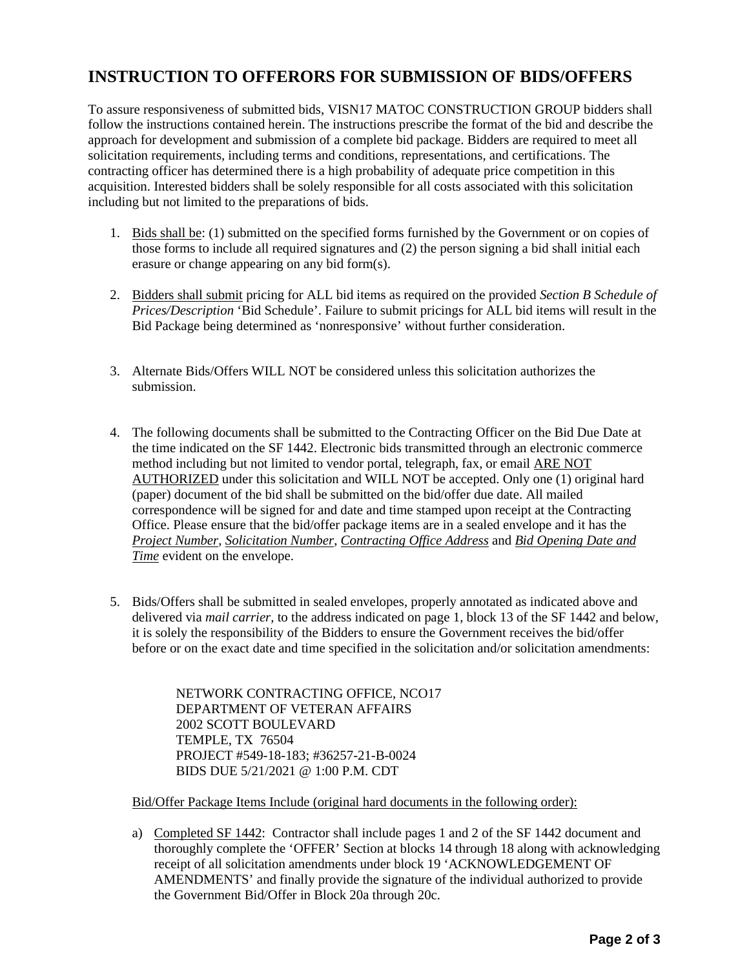## **INSTRUCTION TO OFFERORS FOR SUBMISSION OF BIDS/OFFERS**

To assure responsiveness of submitted bids, VISN17 MATOC CONSTRUCTION GROUP bidders shall follow the instructions contained herein. The instructions prescribe the format of the bid and describe the approach for development and submission of a complete bid package. Bidders are required to meet all solicitation requirements, including terms and conditions, representations, and certifications. The contracting officer has determined there is a high probability of adequate price competition in this acquisition. Interested bidders shall be solely responsible for all costs associated with this solicitation including but not limited to the preparations of bids.

- 1. Bids shall be: (1) submitted on the specified forms furnished by the Government or on copies of those forms to include all required signatures and (2) the person signing a bid shall initial each erasure or change appearing on any bid form(s).
- 2. Bidders shall submit pricing for ALL bid items as required on the provided *Section B Schedule of Prices/Description* 'Bid Schedule'. Failure to submit pricings for ALL bid items will result in the Bid Package being determined as 'nonresponsive' without further consideration.
- 3. Alternate Bids/Offers WILL NOT be considered unless this solicitation authorizes the submission.
- 4. The following documents shall be submitted to the Contracting Officer on the Bid Due Date at the time indicated on the SF 1442. Electronic bids transmitted through an electronic commerce method including but not limited to vendor portal, telegraph, fax, or email ARE NOT AUTHORIZED under this solicitation and WILL NOT be accepted. Only one (1) original hard (paper) document of the bid shall be submitted on the bid/offer due date. All mailed correspondence will be signed for and date and time stamped upon receipt at the Contracting Office. Please ensure that the bid/offer package items are in a sealed envelope and it has the *Project Number*, *Solicitation Number*, *Contracting Office Address* and *Bid Opening Date and Time* evident on the envelope.
- 5. Bids/Offers shall be submitted in sealed envelopes, properly annotated as indicated above and delivered via *mail carrier,* to the address indicated on page 1, block 13 of the SF 1442 and below, it is solely the responsibility of the Bidders to ensure the Government receives the bid/offer before or on the exact date and time specified in the solicitation and/or solicitation amendments:

NETWORK CONTRACTING OFFICE, NCO17 DEPARTMENT OF VETERAN AFFAIRS 2002 SCOTT BOULEVARD TEMPLE, TX 76504 PROJECT #549-18-183; #36257-21-B-0024 BIDS DUE 5/21/2021 @ 1:00 P.M. CDT

Bid/Offer Package Items Include (original hard documents in the following order):

a) Completed SF 1442: Contractor shall include pages 1 and 2 of the SF 1442 document and thoroughly complete the 'OFFER' Section at blocks 14 through 18 along with acknowledging receipt of all solicitation amendments under block 19 'ACKNOWLEDGEMENT OF AMENDMENTS' and finally provide the signature of the individual authorized to provide the Government Bid/Offer in Block 20a through 20c.